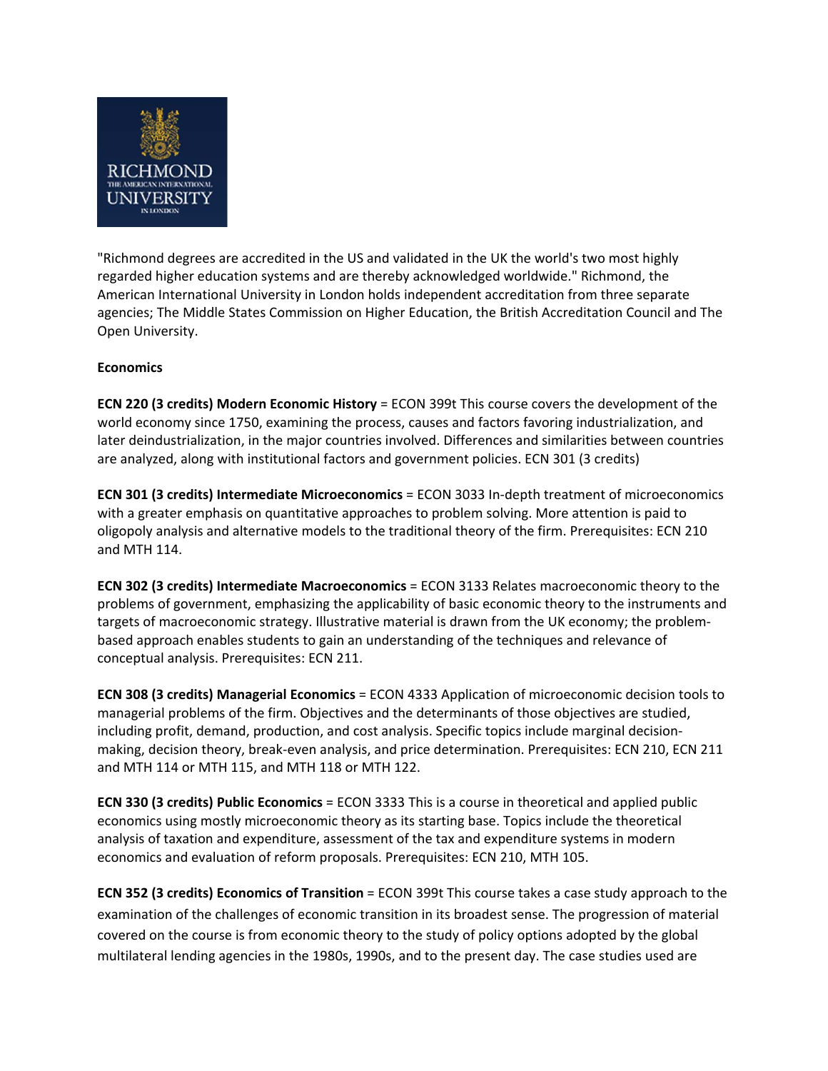

"Richmond degrees are accredited in the US and validated in the UK the world's two most highly regarded higher education systems and are thereby acknowledged worldwide." Richmond, the American International University in London holds independent accreditation from three separate agencies; The Middle States Commission on Higher Education, the British Accreditation Council and The Open University.

## **Economics**

**ECN 220 (3 credits) Modern Economic History** = ECON 399t This course covers the development of the world economy since 1750, examining the process, causes and factors favoring industrialization, and later deindustrialization, in the major countries involved. Differences and similarities between countries are analyzed, along with institutional factors and government policies. ECN 301 (3 credits)

**ECN 301 (3 credits) Intermediate Microeconomics** = ECON 3033 In‐depth treatment of microeconomics with a greater emphasis on quantitative approaches to problem solving. More attention is paid to oligopoly analysis and alternative models to the traditional theory of the firm. Prerequisites: ECN 210 and MTH 114.

**ECN 302 (3 credits) Intermediate Macroeconomics** = ECON 3133 Relates macroeconomic theory to the problems of government, emphasizing the applicability of basic economic theory to the instruments and targets of macroeconomic strategy. Illustrative material is drawn from the UK economy; the problem‐ based approach enables students to gain an understanding of the techniques and relevance of conceptual analysis. Prerequisites: ECN 211.

**ECN 308 (3 credits) Managerial Economics** = ECON 4333 Application of microeconomic decision tools to managerial problems of the firm. Objectives and the determinants of those objectives are studied, including profit, demand, production, and cost analysis. Specific topics include marginal decision‐ making, decision theory, break‐even analysis, and price determination. Prerequisites: ECN 210, ECN 211 and MTH 114 or MTH 115, and MTH 118 or MTH 122.

**ECN 330 (3 credits) Public Economics** = ECON 3333 This is a course in theoretical and applied public economics using mostly microeconomic theory as its starting base. Topics include the theoretical analysis of taxation and expenditure, assessment of the tax and expenditure systems in modern economics and evaluation of reform proposals. Prerequisites: ECN 210, MTH 105.

**ECN 352 (3 credits) Economics of Transition** = ECON 399t This course takes a case study approach to the examination of the challenges of economic transition in its broadest sense. The progression of material covered on the course is from economic theory to the study of policy options adopted by the global multilateral lending agencies in the 1980s, 1990s, and to the present day. The case studies used are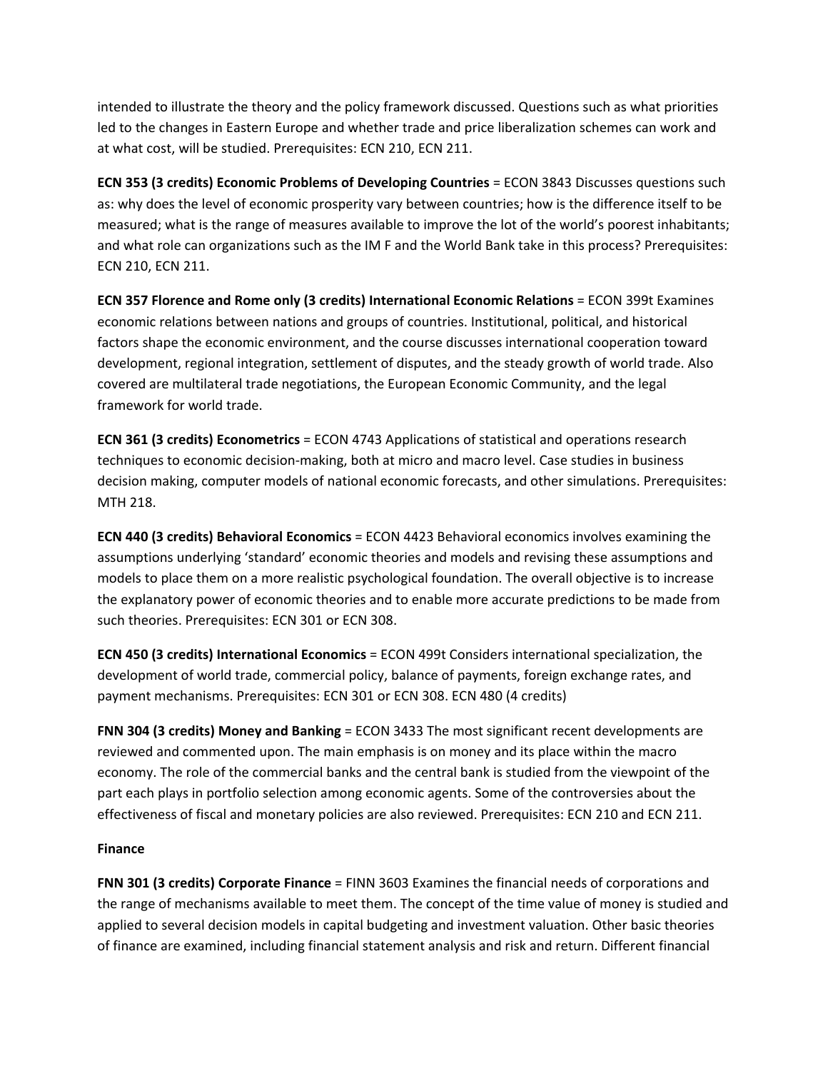intended to illustrate the theory and the policy framework discussed. Questions such as what priorities led to the changes in Eastern Europe and whether trade and price liberalization schemes can work and at what cost, will be studied. Prerequisites: ECN 210, ECN 211.

**ECN 353 (3 credits) Economic Problems of Developing Countries** = ECON 3843 Discusses questions such as: why does the level of economic prosperity vary between countries; how is the difference itself to be measured; what is the range of measures available to improve the lot of the world's poorest inhabitants; and what role can organizations such as the IM F and the World Bank take in this process? Prerequisites: ECN 210, ECN 211.

**ECN 357 Florence and Rome only (3 credits) International Economic Relations** = ECON 399t Examines economic relations between nations and groups of countries. Institutional, political, and historical factors shape the economic environment, and the course discusses international cooperation toward development, regional integration, settlement of disputes, and the steady growth of world trade. Also covered are multilateral trade negotiations, the European Economic Community, and the legal framework for world trade.

**ECN 361 (3 credits) Econometrics** = ECON 4743 Applications of statistical and operations research techniques to economic decision‐making, both at micro and macro level. Case studies in business decision making, computer models of national economic forecasts, and other simulations. Prerequisites: MTH 218.

**ECN 440 (3 credits) Behavioral Economics** = ECON 4423 Behavioral economics involves examining the assumptions underlying 'standard' economic theories and models and revising these assumptions and models to place them on a more realistic psychological foundation. The overall objective is to increase the explanatory power of economic theories and to enable more accurate predictions to be made from such theories. Prerequisites: ECN 301 or ECN 308.

**ECN 450 (3 credits) International Economics** = ECON 499t Considers international specialization, the development of world trade, commercial policy, balance of payments, foreign exchange rates, and payment mechanisms. Prerequisites: ECN 301 or ECN 308. ECN 480 (4 credits)

**FNN 304 (3 credits) Money and Banking** = ECON 3433 The most significant recent developments are reviewed and commented upon. The main emphasis is on money and its place within the macro economy. The role of the commercial banks and the central bank is studied from the viewpoint of the part each plays in portfolio selection among economic agents. Some of the controversies about the effectiveness of fiscal and monetary policies are also reviewed. Prerequisites: ECN 210 and ECN 211.

## **Finance**

**FNN 301 (3 credits) Corporate Finance** = FINN 3603 Examines the financial needs of corporations and the range of mechanisms available to meet them. The concept of the time value of money is studied and applied to several decision models in capital budgeting and investment valuation. Other basic theories of finance are examined, including financial statement analysis and risk and return. Different financial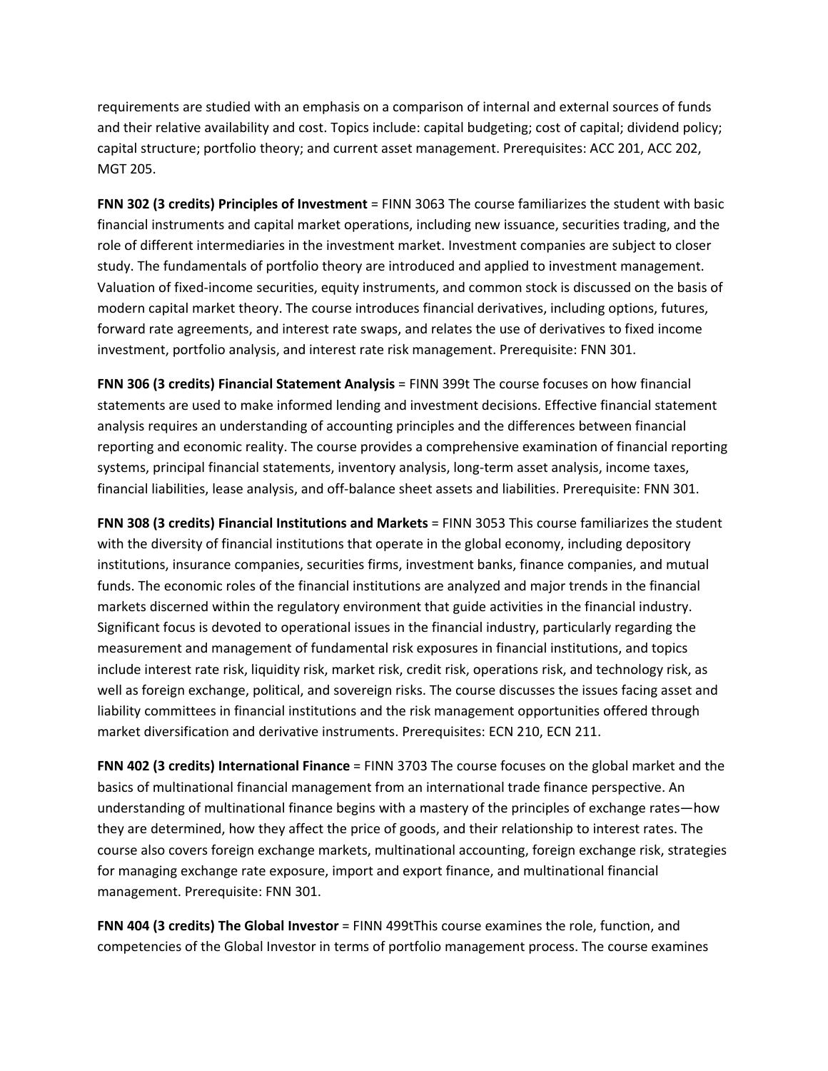requirements are studied with an emphasis on a comparison of internal and external sources of funds and their relative availability and cost. Topics include: capital budgeting; cost of capital; dividend policy; capital structure; portfolio theory; and current asset management. Prerequisites: ACC 201, ACC 202, MGT 205.

**FNN 302 (3 credits) Principles of Investment** = FINN 3063 The course familiarizes the student with basic financial instruments and capital market operations, including new issuance, securities trading, and the role of different intermediaries in the investment market. Investment companies are subject to closer study. The fundamentals of portfolio theory are introduced and applied to investment management. Valuation of fixed‐income securities, equity instruments, and common stock is discussed on the basis of modern capital market theory. The course introduces financial derivatives, including options, futures, forward rate agreements, and interest rate swaps, and relates the use of derivatives to fixed income investment, portfolio analysis, and interest rate risk management. Prerequisite: FNN 301.

**FNN 306 (3 credits) Financial Statement Analysis** = FINN 399t The course focuses on how financial statements are used to make informed lending and investment decisions. Effective financial statement analysis requires an understanding of accounting principles and the differences between financial reporting and economic reality. The course provides a comprehensive examination of financial reporting systems, principal financial statements, inventory analysis, long-term asset analysis, income taxes, financial liabilities, lease analysis, and off-balance sheet assets and liabilities. Prerequisite: FNN 301.

**FNN 308 (3 credits) Financial Institutions and Markets** = FINN 3053 This course familiarizes the student with the diversity of financial institutions that operate in the global economy, including depository institutions, insurance companies, securities firms, investment banks, finance companies, and mutual funds. The economic roles of the financial institutions are analyzed and major trends in the financial markets discerned within the regulatory environment that guide activities in the financial industry. Significant focus is devoted to operational issues in the financial industry, particularly regarding the measurement and management of fundamental risk exposures in financial institutions, and topics include interest rate risk, liquidity risk, market risk, credit risk, operations risk, and technology risk, as well as foreign exchange, political, and sovereign risks. The course discusses the issues facing asset and liability committees in financial institutions and the risk management opportunities offered through market diversification and derivative instruments. Prerequisites: ECN 210, ECN 211.

**FNN 402 (3 credits) International Finance** = FINN 3703 The course focuses on the global market and the basics of multinational financial management from an international trade finance perspective. An understanding of multinational finance begins with a mastery of the principles of exchange rates—how they are determined, how they affect the price of goods, and their relationship to interest rates. The course also covers foreign exchange markets, multinational accounting, foreign exchange risk, strategies for managing exchange rate exposure, import and export finance, and multinational financial management. Prerequisite: FNN 301.

**FNN 404 (3 credits) The Global Investor** = FINN 499tThis course examines the role, function, and competencies of the Global Investor in terms of portfolio management process. The course examines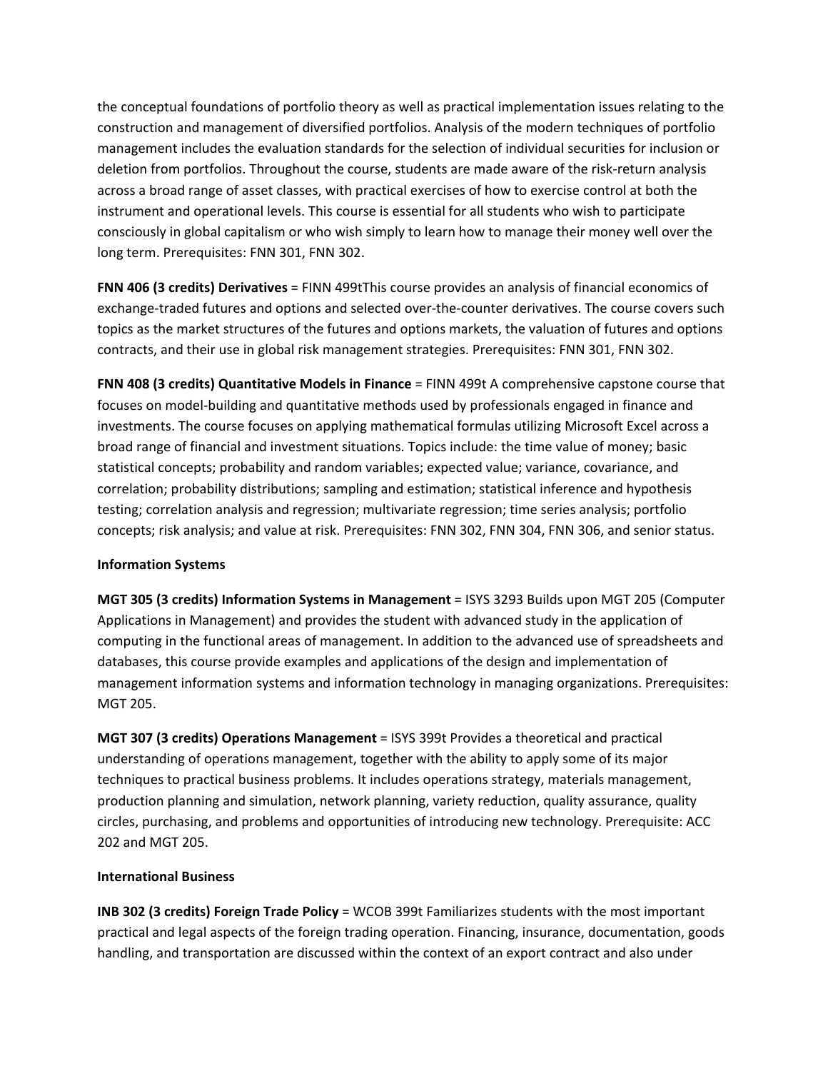the conceptual foundations of portfolio theory as well as practical implementation issues relating to the construction and management of diversified portfolios. Analysis of the modern techniques of portfolio management includes the evaluation standards for the selection of individual securities for inclusion or deletion from portfolios. Throughout the course, students are made aware of the risk‐return analysis across a broad range of asset classes, with practical exercises of how to exercise control at both the instrument and operational levels. This course is essential for all students who wish to participate consciously in global capitalism or who wish simply to learn how to manage their money well over the long term. Prerequisites: FNN 301, FNN 302.

**FNN 406 (3 credits) Derivatives** = FINN 499tThis course provides an analysis of financial economics of exchange-traded futures and options and selected over-the-counter derivatives. The course covers such topics as the market structures of the futures and options markets, the valuation of futures and options contracts, and their use in global risk management strategies. Prerequisites: FNN 301, FNN 302.

**FNN 408 (3 credits) Quantitative Models in Finance** = FINN 499t A comprehensive capstone course that focuses on model‐building and quantitative methods used by professionals engaged in finance and investments. The course focuses on applying mathematical formulas utilizing Microsoft Excel across a broad range of financial and investment situations. Topics include: the time value of money; basic statistical concepts; probability and random variables; expected value; variance, covariance, and correlation; probability distributions; sampling and estimation; statistical inference and hypothesis testing; correlation analysis and regression; multivariate regression; time series analysis; portfolio concepts; risk analysis; and value at risk. Prerequisites: FNN 302, FNN 304, FNN 306, and senior status.

## **Information Systems**

**MGT 305 (3 credits) Information Systems in Management** = ISYS 3293 Builds upon MGT 205 (Computer Applications in Management) and provides the student with advanced study in the application of computing in the functional areas of management. In addition to the advanced use of spreadsheets and databases, this course provide examples and applications of the design and implementation of management information systems and information technology in managing organizations. Prerequisites: MGT 205.

**MGT 307 (3 credits) Operations Management** = ISYS 399t Provides a theoretical and practical understanding of operations management, together with the ability to apply some of its major techniques to practical business problems. It includes operations strategy, materials management, production planning and simulation, network planning, variety reduction, quality assurance, quality circles, purchasing, and problems and opportunities of introducing new technology. Prerequisite: ACC 202 and MGT 205.

### **International Business**

**INB 302 (3 credits) Foreign Trade Policy** = WCOB 399t Familiarizes students with the most important practical and legal aspects of the foreign trading operation. Financing, insurance, documentation, goods handling, and transportation are discussed within the context of an export contract and also under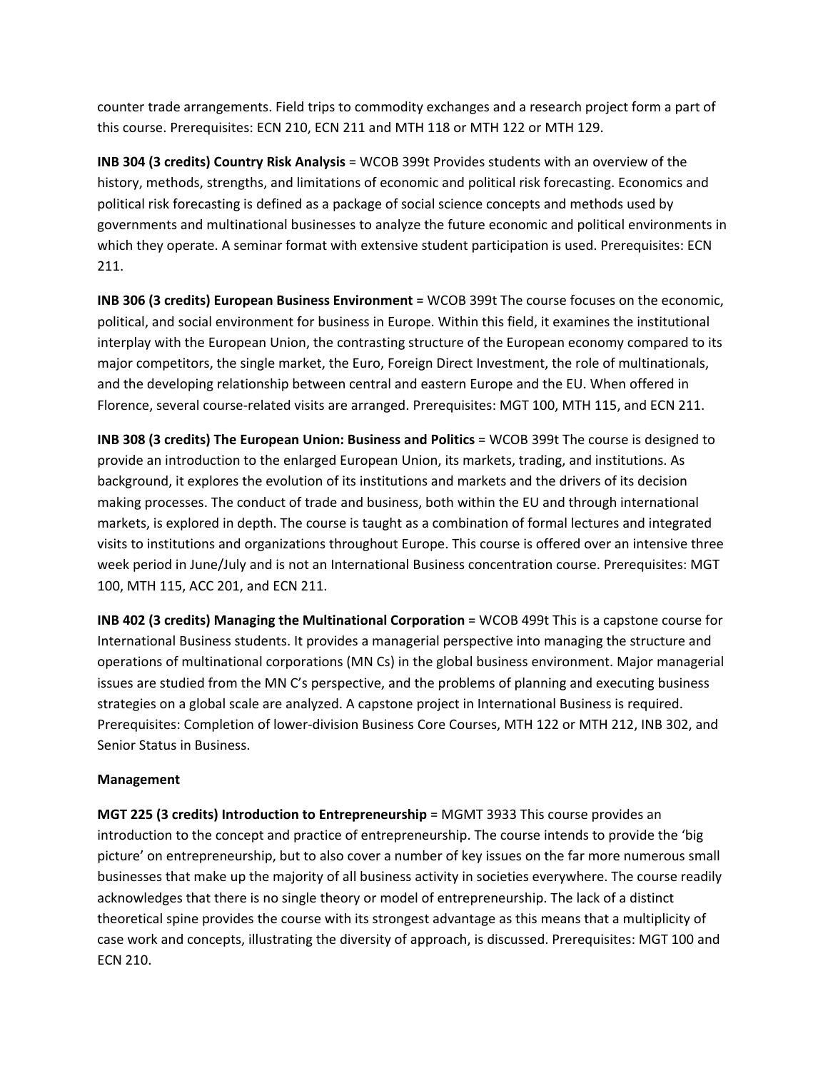counter trade arrangements. Field trips to commodity exchanges and a research project form a part of this course. Prerequisites: ECN 210, ECN 211 and MTH 118 or MTH 122 or MTH 129.

**INB 304 (3 credits) Country Risk Analysis** = WCOB 399t Provides students with an overview of the history, methods, strengths, and limitations of economic and political risk forecasting. Economics and political risk forecasting is defined as a package of social science concepts and methods used by governments and multinational businesses to analyze the future economic and political environments in which they operate. A seminar format with extensive student participation is used. Prerequisites: ECN 211.

**INB 306 (3 credits) European Business Environment** = WCOB 399t The course focuses on the economic, political, and social environment for business in Europe. Within this field, it examines the institutional interplay with the European Union, the contrasting structure of the European economy compared to its major competitors, the single market, the Euro, Foreign Direct Investment, the role of multinationals, and the developing relationship between central and eastern Europe and the EU. When offered in Florence, several course-related visits are arranged. Prerequisites: MGT 100, MTH 115, and ECN 211.

**INB 308 (3 credits) The European Union: Business and Politics** = WCOB 399t The course is designed to provide an introduction to the enlarged European Union, its markets, trading, and institutions. As background, it explores the evolution of its institutions and markets and the drivers of its decision making processes. The conduct of trade and business, both within the EU and through international markets, is explored in depth. The course is taught as a combination of formal lectures and integrated visits to institutions and organizations throughout Europe. This course is offered over an intensive three week period in June/July and is not an International Business concentration course. Prerequisites: MGT 100, MTH 115, ACC 201, and ECN 211.

**INB 402 (3 credits) Managing the Multinational Corporation** = WCOB 499t This is a capstone course for International Business students. It provides a managerial perspective into managing the structure and operations of multinational corporations (MN Cs) in the global business environment. Major managerial issues are studied from the MN C's perspective, and the problems of planning and executing business strategies on a global scale are analyzed. A capstone project in International Business is required. Prerequisites: Completion of lower‐division Business Core Courses, MTH 122 or MTH 212, INB 302, and Senior Status in Business.

## **Management**

**MGT 225 (3 credits) Introduction to Entrepreneurship** = MGMT 3933 This course provides an introduction to the concept and practice of entrepreneurship. The course intends to provide the 'big picture' on entrepreneurship, but to also cover a number of key issues on the far more numerous small businesses that make up the majority of all business activity in societies everywhere. The course readily acknowledges that there is no single theory or model of entrepreneurship. The lack of a distinct theoretical spine provides the course with its strongest advantage as this means that a multiplicity of case work and concepts, illustrating the diversity of approach, is discussed. Prerequisites: MGT 100 and ECN 210.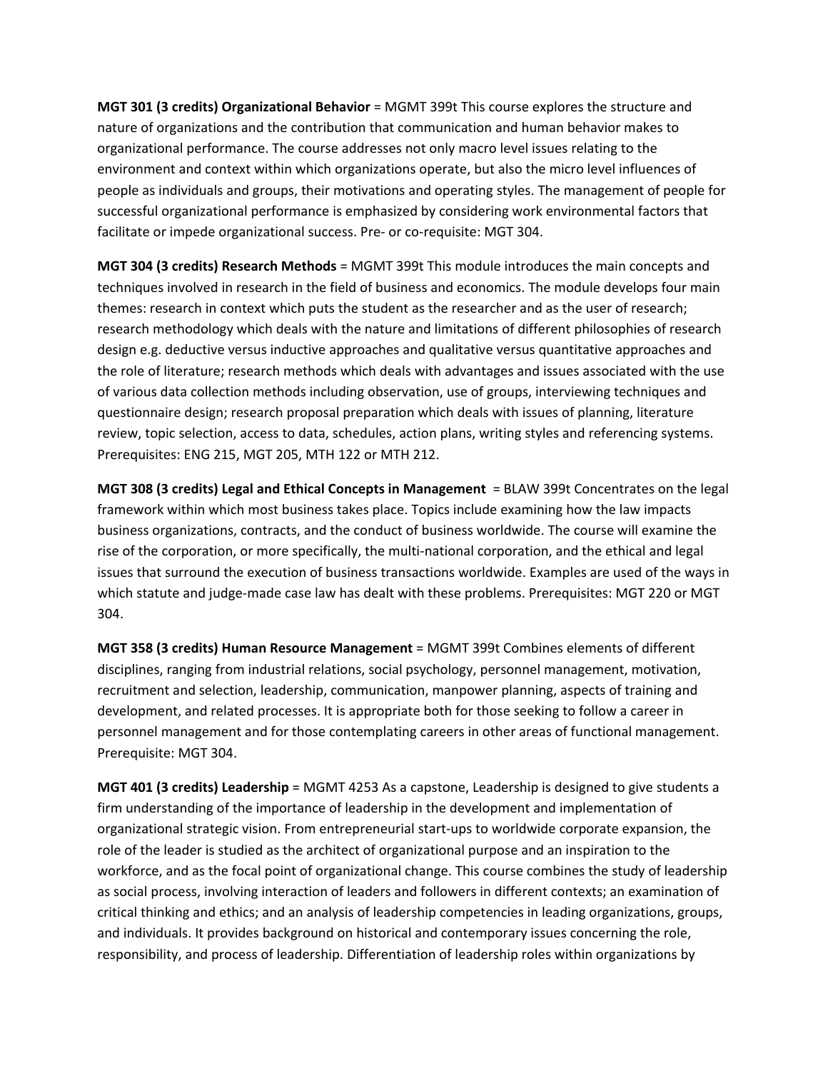**MGT 301 (3 credits) Organizational Behavior** = MGMT 399t This course explores the structure and nature of organizations and the contribution that communication and human behavior makes to organizational performance. The course addresses not only macro level issues relating to the environment and context within which organizations operate, but also the micro level influences of people as individuals and groups, their motivations and operating styles. The management of people for successful organizational performance is emphasized by considering work environmental factors that facilitate or impede organizational success. Pre‐ or co‐requisite: MGT 304.

**MGT 304 (3 credits) Research Methods** = MGMT 399t This module introduces the main concepts and techniques involved in research in the field of business and economics. The module develops four main themes: research in context which puts the student as the researcher and as the user of research; research methodology which deals with the nature and limitations of different philosophies of research design e.g. deductive versus inductive approaches and qualitative versus quantitative approaches and the role of literature; research methods which deals with advantages and issues associated with the use of various data collection methods including observation, use of groups, interviewing techniques and questionnaire design; research proposal preparation which deals with issues of planning, literature review, topic selection, access to data, schedules, action plans, writing styles and referencing systems. Prerequisites: ENG 215, MGT 205, MTH 122 or MTH 212.

**MGT 308 (3 credits) Legal and Ethical Concepts in Management** = BLAW 399t Concentrates on the legal framework within which most business takes place. Topics include examining how the law impacts business organizations, contracts, and the conduct of business worldwide. The course will examine the rise of the corporation, or more specifically, the multi‐national corporation, and the ethical and legal issues that surround the execution of business transactions worldwide. Examples are used of the ways in which statute and judge-made case law has dealt with these problems. Prerequisites: MGT 220 or MGT 304.

**MGT 358 (3 credits) Human Resource Management** = MGMT 399t Combines elements of different disciplines, ranging from industrial relations, social psychology, personnel management, motivation, recruitment and selection, leadership, communication, manpower planning, aspects of training and development, and related processes. It is appropriate both for those seeking to follow a career in personnel management and for those contemplating careers in other areas of functional management. Prerequisite: MGT 304.

**MGT 401 (3 credits) Leadership** = MGMT 4253 As a capstone, Leadership is designed to give students a firm understanding of the importance of leadership in the development and implementation of organizational strategic vision. From entrepreneurial start‐ups to worldwide corporate expansion, the role of the leader is studied as the architect of organizational purpose and an inspiration to the workforce, and as the focal point of organizational change. This course combines the study of leadership as social process, involving interaction of leaders and followers in different contexts; an examination of critical thinking and ethics; and an analysis of leadership competencies in leading organizations, groups, and individuals. It provides background on historical and contemporary issues concerning the role, responsibility, and process of leadership. Differentiation of leadership roles within organizations by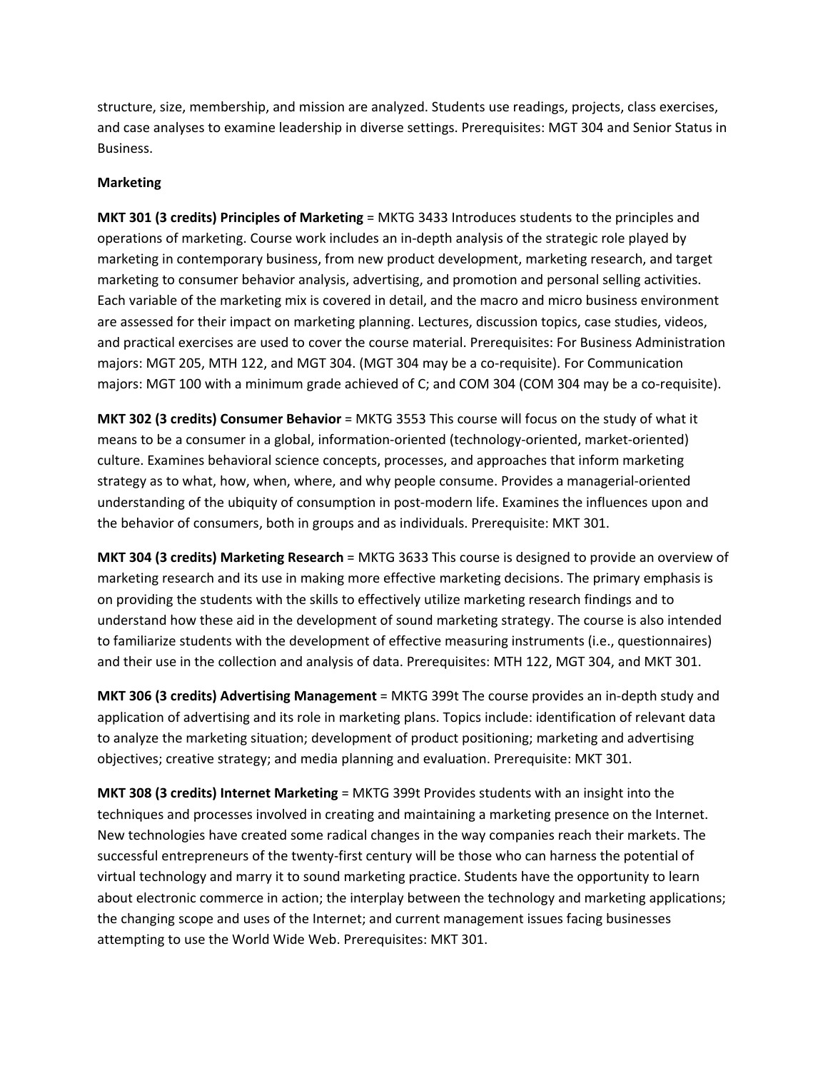structure, size, membership, and mission are analyzed. Students use readings, projects, class exercises, and case analyses to examine leadership in diverse settings. Prerequisites: MGT 304 and Senior Status in Business.

# **Marketing**

**MKT 301 (3 credits) Principles of Marketing** = MKTG 3433 Introduces students to the principles and operations of marketing. Course work includes an in‐depth analysis of the strategic role played by marketing in contemporary business, from new product development, marketing research, and target marketing to consumer behavior analysis, advertising, and promotion and personal selling activities. Each variable of the marketing mix is covered in detail, and the macro and micro business environment are assessed for their impact on marketing planning. Lectures, discussion topics, case studies, videos, and practical exercises are used to cover the course material. Prerequisites: For Business Administration majors: MGT 205, MTH 122, and MGT 304. (MGT 304 may be a co-requisite). For Communication majors: MGT 100 with a minimum grade achieved of C; and COM 304 (COM 304 may be a co-requisite).

**MKT 302 (3 credits) Consumer Behavior** = MKTG 3553 This course will focus on the study of what it means to be a consumer in a global, information-oriented (technology-oriented, market-oriented) culture. Examines behavioral science concepts, processes, and approaches that inform marketing strategy as to what, how, when, where, and why people consume. Provides a managerial‐oriented understanding of the ubiquity of consumption in post‐modern life. Examines the influences upon and the behavior of consumers, both in groups and as individuals. Prerequisite: MKT 301.

**MKT 304 (3 credits) Marketing Research** = MKTG 3633 This course is designed to provide an overview of marketing research and its use in making more effective marketing decisions. The primary emphasis is on providing the students with the skills to effectively utilize marketing research findings and to understand how these aid in the development of sound marketing strategy. The course is also intended to familiarize students with the development of effective measuring instruments (i.e., questionnaires) and their use in the collection and analysis of data. Prerequisites: MTH 122, MGT 304, and MKT 301.

**MKT 306 (3 credits) Advertising Management** = MKTG 399t The course provides an in‐depth study and application of advertising and its role in marketing plans. Topics include: identification of relevant data to analyze the marketing situation; development of product positioning; marketing and advertising objectives; creative strategy; and media planning and evaluation. Prerequisite: MKT 301.

**MKT 308 (3 credits) Internet Marketing** = MKTG 399t Provides students with an insight into the techniques and processes involved in creating and maintaining a marketing presence on the Internet. New technologies have created some radical changes in the way companies reach their markets. The successful entrepreneurs of the twenty-first century will be those who can harness the potential of virtual technology and marry it to sound marketing practice. Students have the opportunity to learn about electronic commerce in action; the interplay between the technology and marketing applications; the changing scope and uses of the Internet; and current management issues facing businesses attempting to use the World Wide Web. Prerequisites: MKT 301.